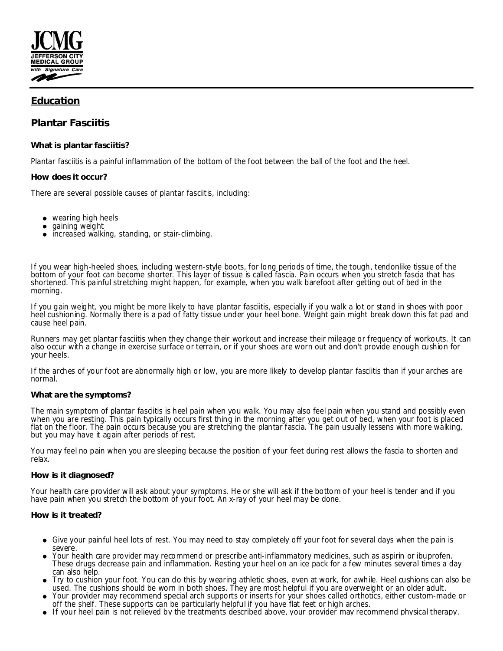

# **Education**

# **Plantar Fasciitis**

**What is plantar fasciitis?**

Plantar fasciitis is a painful inflammation of the bottom of the foot between the ball of the foot and the heel.

**How does it occur?**

There are several possible causes of plantar fasciitis, including:

- wearing high heels
- gaining weight
- increased walking, standing, or stair-climbing.

If you wear high-heeled shoes, including western-style boots, for long periods of time, the tough, tendonlike tissue of the bottom of your foot can become shorter. This layer of tissue is called fascia. Pain occurs when you stretch fascia that has shortened. This painful stretching might happen, for example, when you walk barefoot after getting out of bed in the morning.

If you gain weight, you might be more likely to have plantar fasciitis, especially if you walk a lot or stand in shoes with poor heel cushioning. Normally there is a pad of fatty tissue under your heel bone. Weight gain might break down this fat pad and cause heel pain.

Runners may get plantar fasciitis when they change their workout and increase their mileage or frequency of workouts. It can also occur with a change in exercise surface or terrain, or if your shoes are worn out and don't provide enough cushion for your heels.

If the arches of your foot are abnormally high or low, you are more likely to develop plantar fasciitis than if your arches are normal.

## **What are the symptoms?**

The main symptom of plantar fasciitis is heel pain when you walk. You may also feel pain when you stand and possibly even when you are resting. This pain typically occurs first thing in the morning after you get out of bed, when your foot is placed flat on the floor. The pain occurs because you are stretching the plantar fascia. The pain usually lessens with more walking, but you may have it again after periods of rest.

You may feel no pain when you are sleeping because the position of your feet during rest allows the fascia to shorten and relax.

#### **How is it diagnosed?**

Your health care provider will ask about your symptoms. He or she will ask if the bottom of your heel is tender and if you have pain when you stretch the bottom of your foot. An x-ray of your heel may be done.

**How is it treated?**

- Give your painful heel lots of rest. You may need to stay completely off your foot for several days when the pain is severe.
- Your health care provider may recommend or prescribe anti-inflammatory medicines, such as aspirin or ibuprofen. These drugs decrease pain and inflammation. Resting your heel on an ice pack for a few minutes several times a day can also help.
- Try to cushion your foot. You can do this by wearing athletic shoes, even at work, for awhile. Heel cushions can also be used. The cushions should be worn in both shoes. They are most helpful if you are overweight or an older adult.
- Your provider may recommend special arch supports or inserts for your shoes called orthotics, either custom-made or off the shelf. These supports can be particularly helpful if you have flat feet or high arches.
- If your heel pain is not relieved by the treatments described above, your provider may recommend physical therapy.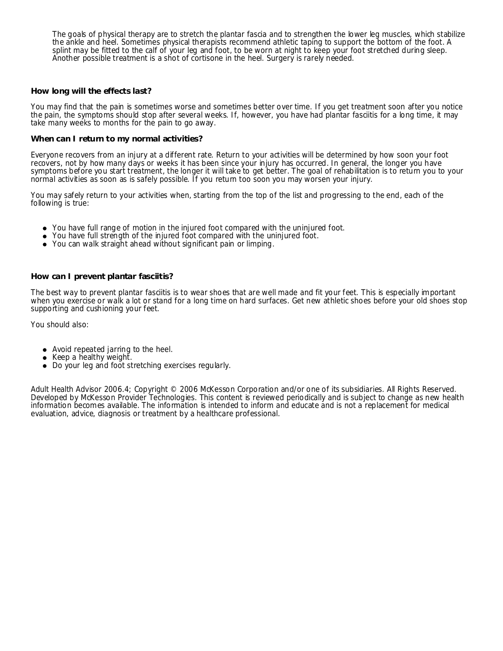The goals of physical therapy are to stretch the plantar fascia and to strengthen the lower leg muscles, which stabilize the ankle and heel. Sometimes physical therapists recommend athletic taping to support the bottom of the foot. A splint may be fitted to the calf of your leg and foot, to be worn at night to keep your foot stretched during sleep. Another possible treatment is a shot of cortisone in the heel. Surgery is rarely needed.

### **How long will the effects last?**

You may find that the pain is sometimes worse and sometimes better over time. If you get treatment soon after you notice the pain, the symptoms should stop after several weeks. If, however, you have had plantar fasciitis for a long time, it may take many weeks to months for the pain to go away.

#### **When can I return to my normal activities?**

Everyone recovers from an injury at a different rate. Return to your activities will be determined by how soon your foot recovers, not by how many days or weeks it has been since your injury has occurred. In general, the longer you have symptoms before you start treatment, the longer it will take to get better. The goal of rehabilitation is to return you to your normal activities as soon as is safely possible. If you return too soon you may worsen your injury.

You may safely return to your activities when, starting from the top of the list and progressing to the end, each of the following is true:

- You have full range of motion in the injured foot compared with the uninjured foot.
- You have full strength of the injured foot compared with the uninjured foot.
- You can walk straight ahead without significant pain or limping.

### **How can I prevent plantar fasciitis?**

The best way to prevent plantar fasciitis is to wear shoes that are well made and fit your feet. This is especially important when you exercise or walk a lot or stand for a long time on hard surfaces. Get new athletic shoes before your old shoes stop supporting and cushioning your feet.

You should also:

- Avoid repeated jarring to the heel.
- $\bullet$  Keep a healthy weight.
- Do your leg and foot stretching exercises regularly.

Adult Health Advisor 2006.4; Copyright © 2006 McKesson Corporation and/or one of its subsidiaries. All Rights Reserved. Developed by McKesson Provider Technologies. This content is reviewed periodically and is subject to change as new health information becomes available. The information is intended to inform and educate and is not a replacement for medical evaluation, advice, diagnosis or treatment by a healthcare professional.